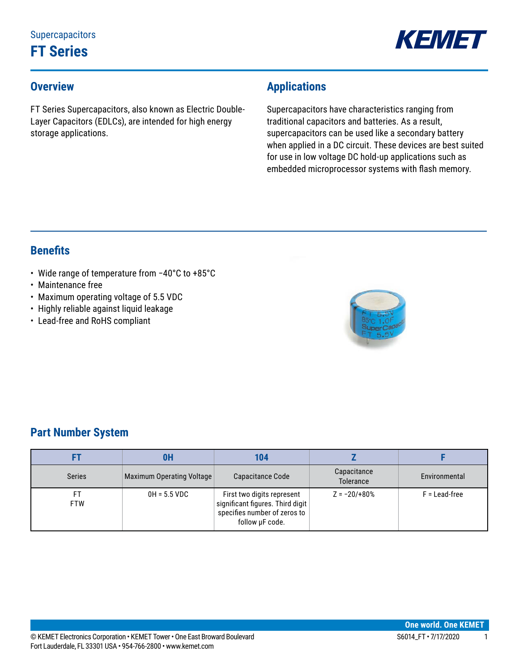

### **Overview**

FT Series Supercapacitors, also known as Electric Double-Layer Capacitors (EDLCs), are intended for high energy storage applications.

### **Applications**

Supercapacitors have characteristics ranging from traditional capacitors and batteries. As a result, supercapacitors can be used like a secondary battery when applied in a DC circuit. These devices are best suited for use in low voltage DC hold-up applications such as embedded microprocessor systems with flash memory.

### **Benefits**

- • Wide range of temperature from −40°C to +85°C
- Maintenance free
- Maximum operating voltage of 5.5 VDC
- Highly reliable against liquid leakage
- Lead-free and RoHS compliant



### **Part Number System**

|                  | 0H                        | 104                                                                                                               |                          |                 |
|------------------|---------------------------|-------------------------------------------------------------------------------------------------------------------|--------------------------|-----------------|
| <b>Series</b>    | Maximum Operating Voltage | Capacitance Code                                                                                                  | Capacitance<br>Tolerance | Environmental   |
| FT<br><b>FTW</b> | $0H = 5.5 VDC$            | First two digits represent<br>significant figures. Third digit<br>specifies number of zeros to<br>follow uF code. | $Z = -20/180%$           | $F =$ Lead-free |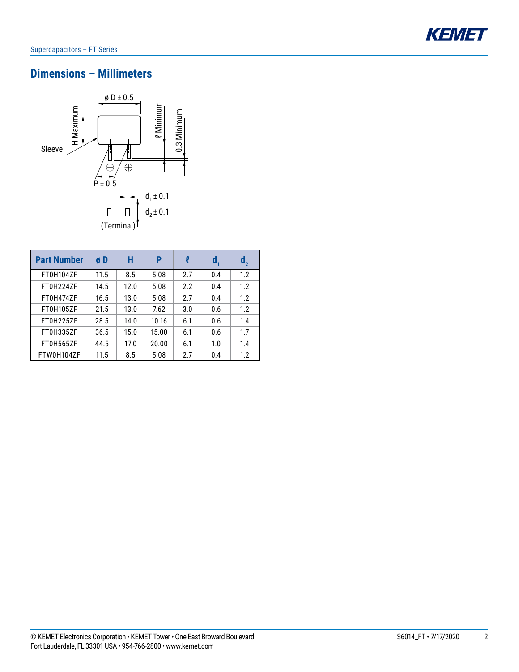

### **Dimensions – Millimeters**



| <b>Part Number</b> | øD   | Н    | P     | ₽   | $\mathbf{d}_{\cdot}$ | $\mathbf{d}_{2}$ |
|--------------------|------|------|-------|-----|----------------------|------------------|
| FT0H104ZF          | 11.5 | 8.5  | 5.08  | 2.7 | 0.4                  | 1.2              |
| FT0H224ZF          | 14.5 | 12.0 | 5.08  | 2.2 | 0.4                  | 1.2              |
| FT0H474ZF          | 16.5 | 13.0 | 5.08  | 2.7 | 0.4                  | 1.2              |
| FT0H105ZF          | 21.5 | 13.0 | 7.62  | 3.0 | 0.6                  | 1.2              |
| FT0H225ZF          | 28.5 | 14.0 | 10.16 | 6.1 | 0.6                  | 1.4              |
| FT0H335ZF          | 36.5 | 15.0 | 15.00 | 6.1 | 0.6                  | 1.7              |
| FT0H565ZF<br>44.5  |      | 17.0 | 20.00 | 6.1 | 1.0                  | 1.4              |
| FTW0H104ZF         | 11.5 | 8.5  | 5.08  | 2.7 | 0.4                  | 1.2              |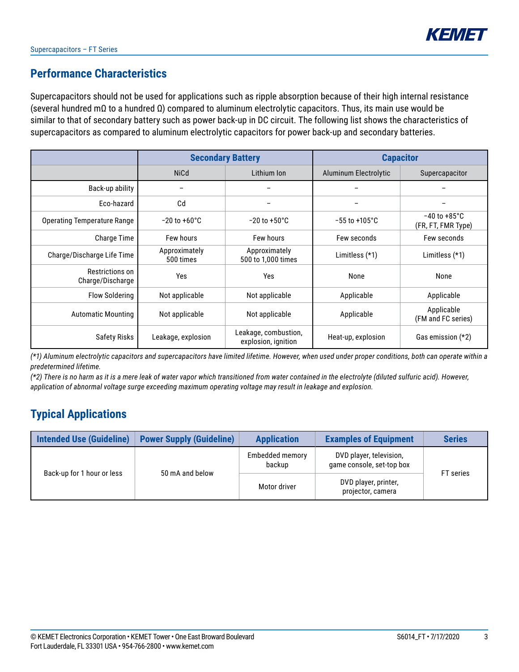### **Performance Characteristics**

Supercapacitors should not be used for applications such as ripple absorption because of their high internal resistance (several hundred mΩ to a hundred Ω) compared to aluminum electrolytic capacitors. Thus, its main use would be similar to that of secondary battery such as power back-up in DC circuit. The following list shows the characteristics of supercapacitors as compared to aluminum electrolytic capacitors for power back-up and secondary batteries.

|                                     |                                                                   | <b>Secondary Battery</b> | <b>Capacitor</b>          |                                                |  |
|-------------------------------------|-------------------------------------------------------------------|--------------------------|---------------------------|------------------------------------------------|--|
|                                     | <b>NiCd</b>                                                       | Lithium Ion              | Aluminum Electrolytic     | Supercapacitor                                 |  |
| Back-up ability                     | $\overline{\phantom{m}}$                                          |                          |                           |                                                |  |
| Eco-hazard                          | C <sub>d</sub>                                                    |                          |                           |                                                |  |
| <b>Operating Temperature Range</b>  | $-20$ to $+60^{\circ}$ C<br>$-20$ to $+50^{\circ}$ C              |                          | $-55$ to $+105^{\circ}$ C | $-40$ to $+85^{\circ}$ C<br>(FR, FT, FMR Type) |  |
| <b>Charge Time</b>                  | Few hours<br><b>Few hours</b>                                     |                          | Few seconds               | Few seconds                                    |  |
| Charge/Discharge Life Time          | Approximately<br>Approximately<br>500 to 1,000 times<br>500 times |                          | Limitless $(*1)$          | Limitless $(*1)$                               |  |
| Restrictions on<br>Charge/Discharge | <b>Yes</b><br>Yes                                                 |                          | None                      | None                                           |  |
| <b>Flow Soldering</b>               | Not applicable                                                    | Not applicable           | Applicable                | Applicable                                     |  |
| <b>Automatic Mounting</b>           | Not applicable<br>Not applicable                                  |                          | Applicable                | Applicable<br>(FM and FC series)               |  |
| Safety Risks                        | Leakage, combustion,<br>Leakage, explosion<br>explosion, ignition |                          | Heat-up, explosion        | Gas emission $(*2)$                            |  |

*(\*1) Aluminum electrolytic capacitors and supercapacitors have limited lifetime. However, when used under proper conditions, both can operate within a predetermined lifetime.*

*(\*2) There is no harm as it is a mere leak of water vapor which transitioned from water contained in the electrolyte (diluted sulfuric acid). However, application of abnormal voltage surge exceeding maximum operating voltage may result in leakage and explosion.*

### **Typical Applications**

| Intended Use (Guideline)   | <b>Power Supply (Guideline)</b> | <b>Application</b>        | <b>Examples of Equipment</b>                         | <b>Series</b> |  |
|----------------------------|---------------------------------|---------------------------|------------------------------------------------------|---------------|--|
| Back-up for 1 hour or less |                                 | Embedded memory<br>backup | DVD player, television,<br>game console, set-top box |               |  |
|                            | 50 mA and below                 | Motor driver              | DVD player, printer,<br>projector, camera            | FT series     |  |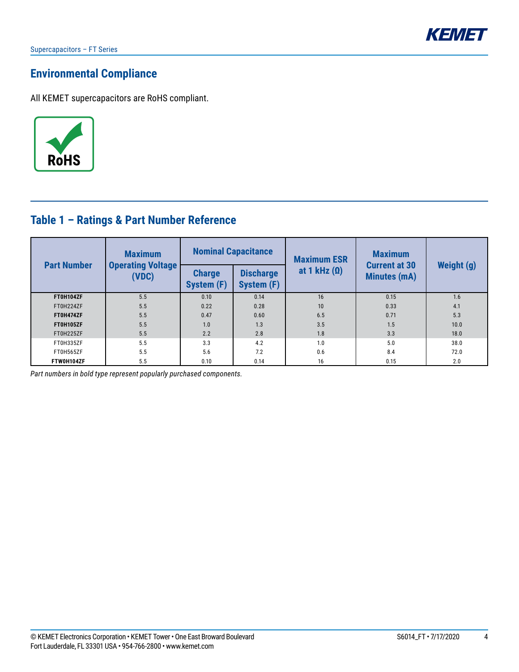

### **Environmental Compliance**

All KEMET supercapacitors are RoHS compliant.



### **Table 1 – Ratings & Part Number Reference**

| <b>Part Number</b> | <b>Maximum</b><br><b>Operating Voltage</b> |                             | <b>Nominal Capacitance</b>     | <b>Maximum ESR</b>  | <b>Maximum</b><br><b>Current at 30</b> | Weight (g) |  |
|--------------------|--------------------------------------------|-----------------------------|--------------------------------|---------------------|----------------------------------------|------------|--|
|                    | (VDC)                                      | <b>Charge</b><br>System (F) | <b>Discharge</b><br>System (F) | at 1 kHz $(\Omega)$ | <b>Minutes (mA)</b>                    |            |  |
| FT0H104ZF          | 5.5                                        | 0.10                        | 0.14                           | 16                  | 0.15                                   | 1.6        |  |
| FT0H224ZF          | 5.5                                        | 0.22                        | 0.28                           | 10                  | 0.33                                   | 4.1        |  |
| FT0H474ZF          | 5.5                                        | 0.47                        | 0.60                           | 6.5                 | 0.71                                   | 5.3        |  |
| FT0H105ZF          | 5.5                                        | 1.0                         | 3.5<br>1.3                     |                     | 1.5                                    | 10.0       |  |
| FT0H225ZF          | 5.5                                        | 2.2                         | 2.8                            | 1.8                 | 3.3                                    | 18.0       |  |
| FT0H335ZF          | 5.5                                        | 3.3                         | 4.2                            | 1.0                 | 5.0                                    | 38.0       |  |
| FT0H565ZF          | 5.5                                        | 5.6                         | 7.2                            | 0.6                 | 8.4                                    | 72.0       |  |
| FTW0H104ZF         | 5.5                                        | 0.10                        | 0.14                           | 16                  | 0.15                                   | 2.0        |  |

*Part numbers in bold type represent popularly purchased components.*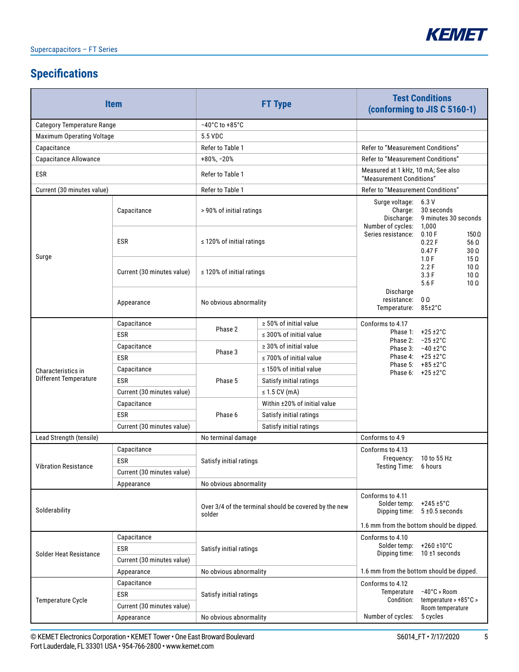# **Specifications**

|                                   | <b>Item</b>                |                                                                 | <b>FT Type</b>               | <b>Test Conditions</b><br>(conforming to JIS C 5160-1)         |                                                                                             |  |  |
|-----------------------------------|----------------------------|-----------------------------------------------------------------|------------------------------|----------------------------------------------------------------|---------------------------------------------------------------------------------------------|--|--|
| <b>Category Temperature Range</b> |                            | $-40^{\circ}$ C to $+85^{\circ}$ C                              |                              |                                                                |                                                                                             |  |  |
| <b>Maximum Operating Voltage</b>  |                            | 5.5 VDC                                                         |                              |                                                                |                                                                                             |  |  |
| Capacitance                       |                            | Refer to Table 1                                                |                              | Refer to "Measurement Conditions"                              |                                                                                             |  |  |
| <b>Capacitance Allowance</b>      |                            | $+80\%$ , $-20\%$                                               |                              | Refer to "Measurement Conditions"                              |                                                                                             |  |  |
| <b>ESR</b>                        |                            | Refer to Table 1                                                |                              | Measured at 1 kHz, 10 mA; See also<br>"Measurement Conditions" |                                                                                             |  |  |
| Current (30 minutes value)        |                            | Refer to Table 1                                                |                              | Refer to "Measurement Conditions"                              |                                                                                             |  |  |
|                                   | Capacitance                | > 90% of initial ratings                                        |                              | Surge voltage: 6.3 V<br>Discharge:<br>Number of cycles:        | Charge: 30 seconds<br>9 minutes 30 seconds<br>1,000                                         |  |  |
| Surge                             | ESR                        | $\leq$ 120% of initial ratings                                  |                              | Series resistance:                                             | 0.10 F<br>$150\,\Omega$<br>0.22F<br>56 Ω<br>0.47F<br>$30\Omega$                             |  |  |
|                                   | Current (30 minutes value) | $\leq$ 120% of initial ratings                                  |                              |                                                                | 1.0 F<br>$15 \Omega$<br>2.2F<br>$10 \Omega$<br>3.3F<br>$10 \Omega$<br>5.6 F<br>$10\ \Omega$ |  |  |
|                                   | Appearance                 | No obvious abnormality                                          |                              | Discharge<br>resistance:<br>Temperature: 85±2°C                | 0Ω                                                                                          |  |  |
|                                   | Capacitance                | Phase 2                                                         | $\geq 50\%$ of initial value | Conforms to 4.17                                               |                                                                                             |  |  |
|                                   | <b>ESR</b>                 |                                                                 | $\leq$ 300% of initial value | Phase 1: +25 ±2°C                                              | Phase 2: $-25 \pm 2^{\circ}$ C                                                              |  |  |
|                                   | Capacitance                | Phase 3                                                         | $\geq$ 30% of initial value  |                                                                | Phase 3: $-40 \pm 2^{\circ}$ C                                                              |  |  |
|                                   | <b>ESR</b>                 |                                                                 | $\leq$ 700% of initial value |                                                                | Phase 4: $+25 \pm 2^{\circ}$ C<br>Phase 5: +85 ±2°C                                         |  |  |
| Characteristics in                | Capacitance                |                                                                 | $\leq$ 150% of initial value |                                                                | Phase 6: $+25 \pm 2^{\circ}$ C                                                              |  |  |
| Different Temperature             | <b>ESR</b>                 | Phase 5                                                         | Satisfy initial ratings      |                                                                |                                                                                             |  |  |
|                                   | Current (30 minutes value) |                                                                 | $\leq$ 1.5 CV (mA)           |                                                                |                                                                                             |  |  |
|                                   | Capacitance                |                                                                 | Within ±20% of initial value |                                                                |                                                                                             |  |  |
|                                   | <b>ESR</b>                 | Phase 6                                                         | Satisfy initial ratings      |                                                                |                                                                                             |  |  |
|                                   | Current (30 minutes value) |                                                                 | Satisfy initial ratings      | Conforms to 4.9                                                |                                                                                             |  |  |
| Lead Strength (tensile)           |                            | No terminal damage                                              |                              |                                                                |                                                                                             |  |  |
|                                   | Capacitance<br>ESR         |                                                                 |                              | Conforms to 4.13<br>Frequency:                                 | 10 to 55 Hz                                                                                 |  |  |
| Vibration Resistance              | Current (30 minutes value) |                                                                 | Satisfy initial ratings      |                                                                | Testing Time: 6 hours                                                                       |  |  |
|                                   | Appearance                 | No obvious abnormality                                          |                              |                                                                |                                                                                             |  |  |
| Solderability                     |                            | Over 3/4 of the terminal should be covered by the new<br>solder |                              | Conforms to 4.11<br>Solder temp: $+245 \pm 5^{\circ}$ C        | Dipping time: $5 \pm 0.5$ seconds<br>1.6 mm from the bottom should be dipped.               |  |  |
|                                   | Capacitance                |                                                                 |                              | Conforms to 4.10                                               |                                                                                             |  |  |
|                                   | ESR                        | Satisfy initial ratings                                         |                              | Solder temp: +260 ±10°C                                        |                                                                                             |  |  |
| <b>Solder Heat Resistance</b>     | Current (30 minutes value) |                                                                 |                              | Dipping time: 10 ±1 seconds                                    |                                                                                             |  |  |
|                                   | Appearance                 | No obvious abnormality                                          |                              |                                                                | 1.6 mm from the bottom should be dipped.                                                    |  |  |
|                                   | Capacitance                |                                                                 |                              | Conforms to 4.12                                               |                                                                                             |  |  |
| Temperature Cycle                 | <b>ESR</b>                 | Satisfy initial ratings                                         |                              | Temperature<br>Condition:                                      | -40°C » Room<br>temperature » +85°C »                                                       |  |  |
|                                   | Current (30 minutes value) |                                                                 |                              |                                                                | Room temperature                                                                            |  |  |
|                                   | Appearance                 | No obvious abnormality                                          |                              | Number of cycles:                                              | 5 cycles                                                                                    |  |  |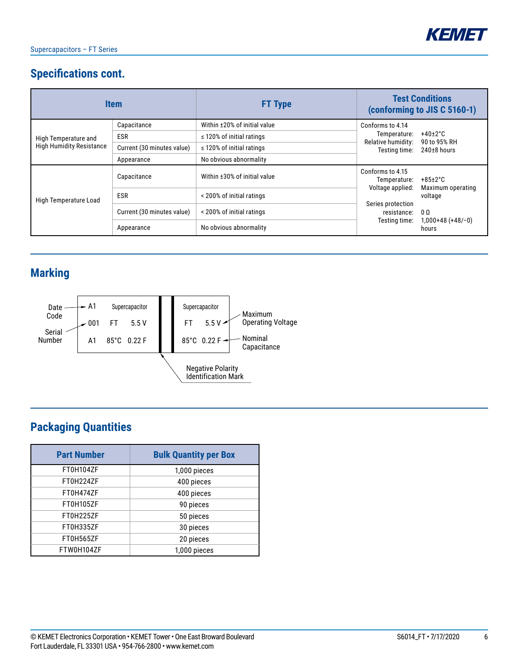

# **Specifications cont.**

| <b>Item</b>                                             |                            | <b>FT Type</b>                 | <b>Test Conditions</b><br>(conforming to JIS C 5160-1)                                 |  |  |
|---------------------------------------------------------|----------------------------|--------------------------------|----------------------------------------------------------------------------------------|--|--|
| High Temperature and<br><b>High Humidity Resistance</b> | Capacitance                | Within ±20% of initial value   | Conforms to 4.14                                                                       |  |  |
|                                                         | <b>ESR</b>                 | $\leq$ 120% of initial ratings | $+40\pm2\degree$ C<br>Temperature:<br>90 to 95% RH                                     |  |  |
|                                                         | Current (30 minutes value) | $\leq$ 120% of initial ratings | Relative humidity:<br>Testing time:<br>$240\pm8$ hours                                 |  |  |
|                                                         | Appearance                 | No obvious abnormality         |                                                                                        |  |  |
| High Temperature Load                                   | Capacitance                | Within ±30% of initial value   | Conforms to 4.15<br>$+85±2°C$<br>Temperature:<br>Voltage applied:<br>Maximum operating |  |  |
|                                                         | <b>ESR</b>                 | < 200% of initial ratings      | voltage<br>Series protection                                                           |  |  |
|                                                         | Current (30 minutes value) | < 200% of initial ratings      | 0 <sub>0</sub><br>resistance:<br>$1,000+48 (+48/-0)$<br>Testing time:                  |  |  |
|                                                         | Appearance                 | No obvious abnormality         | hours                                                                                  |  |  |

### **Marking**



# **Packaging Quantities**

| <b>Part Number</b> | <b>Bulk Quantity per Box</b> |
|--------------------|------------------------------|
| FT0H104ZF          | 1,000 pieces                 |
| FT0H224ZF          | 400 pieces                   |
| FT0H474ZF          | 400 pieces                   |
| FT0H105ZF          | 90 pieces                    |
| FT0H225ZF          | 50 pieces                    |
| FT0H335ZF          | 30 pieces                    |
| FT0H565ZF          | 20 pieces                    |
| FTW0H104ZF         | 1,000 pieces                 |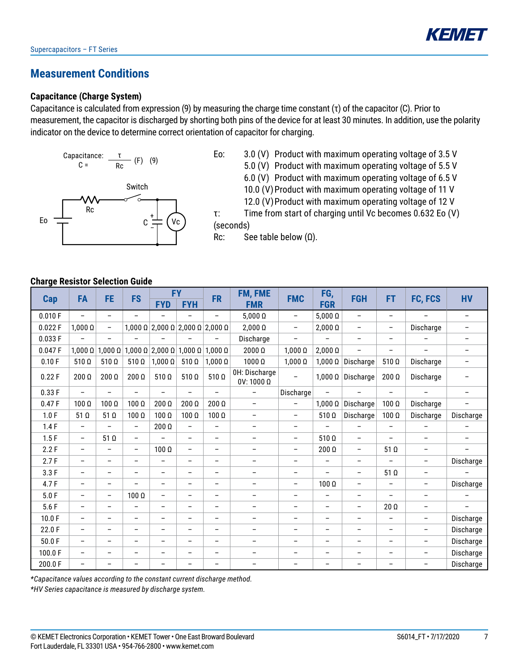

### **Measurement Conditions**

### **Capacitance (Charge System)**

Capacitance is calculated from expression (9) by measuring the charge time constant  $(\tau)$  of the capacitor (C). Prior to measurement, the capacitor is discharged by shorting both pins of the device for at least 30 minutes. In addition, use the polarity indicator on the device to determine correct orientation of capacitor for charging.

Capacitance: 
$$
\frac{\tau}{\text{Rc}}
$$
 (F) (9)

Switch

C + –

Vc

5.0 (V) Product with maximum operating voltage of 5.5 V

6.0 (V) Product with maximum operating voltage of 6.5 V

- 10.0 (V) Product with maximum operating voltage of 11 V
- 12.0 (V) Product with maximum operating voltage of 12 V

τ: Time from start of charging until Vc becomes 0.632 Eo (V) (seconds)

Rc: See table below  $(Ω)$ .

**Charge Resistor Selection Guide**

Rc

Eo

| FA      |                          |                          | FE.<br><b>FS</b>         | <b>FY</b>                                 | <b>FR</b>                | FM, FME                                    | <b>FMC</b>                         | FG,<br><b>FGH</b>        |                          |                          | <b>HV</b>                |                          |                          |
|---------|--------------------------|--------------------------|--------------------------|-------------------------------------------|--------------------------|--------------------------------------------|------------------------------------|--------------------------|--------------------------|--------------------------|--------------------------|--------------------------|--------------------------|
| Cap     |                          |                          |                          | <b>FYD</b>                                | <b>FYH</b>               |                                            | <b>FMR</b>                         |                          | <b>FGR</b>               |                          | FT                       | FC, FCS                  |                          |
| 0.010 F | $\equiv$                 |                          | $\overline{\phantom{0}}$ |                                           |                          | $\overline{a}$                             | $5,000 \Omega$                     | $\overline{\phantom{0}}$ | $5,000 \Omega$           | $\overline{\phantom{a}}$ | $\overline{\phantom{0}}$ | $\overline{\phantom{0}}$ | $\overline{\phantom{0}}$ |
| 0.022F  | $1,000\ \Omega$          | $\overline{\phantom{a}}$ |                          |                                           |                          | $1,000$ Ω $ 2,000$ Ω $ 2,000$ Ω $ 2,000$ Ω | $2,000\ \Omega$                    | $\overline{\phantom{0}}$ | $2,000\ \Omega$          | $\overline{\phantom{a}}$ | $\overline{\phantom{0}}$ | Discharge                | -                        |
| 0.033 F |                          |                          |                          |                                           |                          |                                            | Discharge                          | $\overline{\phantom{0}}$ |                          | $\qquad \qquad -$        | $\qquad \qquad -$        |                          | -                        |
| 0.047F  | $1,000 \Omega$           | $1,000 \Omega$           |                          | $ 1,000 \Omega $ 2,000 Ω $ 1,000 \Omega $ |                          | $1,000\ \Omega$                            | 2000 Ω                             | $1,000\ \Omega$          | $2,000\ \Omega$          | $\overline{\phantom{a}}$ | $\overline{\phantom{0}}$ | -                        | -                        |
| 0.10 F  | $510 \Omega$             | $510 \Omega$             | $510 \Omega$             | $1,000\ \Omega$                           | $510 \Omega$             | $1,000\ \Omega$                            | 1000 Ω                             | $1,000\ \Omega$          | $1,000\ \Omega$          | Discharge                | $510 \Omega$             | Discharge                | -                        |
| 0.22F   | $200\Omega$              | $200\ \Omega$            | $200\ \Omega$            | $510 \Omega$                              | 510 $\Omega$             | 510 $\Omega$                               | OH: Discharge<br>$0V: 1000 \Omega$ | $\overline{\phantom{0}}$ | $1,000 \Omega$           | Discharge                | $200\ \Omega$            | Discharge                |                          |
| 0.33F   | $\equiv$                 |                          | $\overline{\phantom{0}}$ | $\overline{\phantom{0}}$                  | -                        | $\overline{\phantom{0}}$                   |                                    | Discharge                | $\overline{\phantom{0}}$ |                          | $\overline{\phantom{0}}$ | $\overline{\phantom{0}}$ | $\overline{\phantom{0}}$ |
| 0.47 F  | $100 \Omega$             | $100 \Omega$             | $100 \Omega$             | $200 \Omega$                              | $200 \Omega$             | $200 \Omega$                               | $\qquad \qquad -$                  | $\qquad \qquad -$        | $1,000\ \Omega$          | Discharge                | $100 \Omega$             | Discharge                | $\overline{\phantom{0}}$ |
| 1.0 F   | 51 $\Omega$              | 51 $\Omega$              | $100\ \Omega$            | $100\ \Omega$                             | $100\ \Omega$            | $100\ \Omega$                              | $\qquad \qquad -$                  | $\qquad \qquad -$        | $510 \Omega$             | Discharge                | $100 \Omega$             | Discharge                | Discharge                |
| 1.4F    | $\qquad \qquad -$        |                          | $\overline{\phantom{0}}$ | $200 \Omega$                              | $\overline{\phantom{m}}$ | $\overline{\phantom{0}}$                   | $\qquad \qquad -$                  | -                        |                          |                          | $\overline{\phantom{0}}$ |                          |                          |
| 1.5F    | $\overline{\phantom{a}}$ | $51$ $\Omega$            | -                        |                                           | -                        | $\qquad \qquad -$                          | $\overline{\phantom{0}}$           | $\overline{\phantom{0}}$ | $510 \Omega$             | $\overline{\phantom{a}}$ | $\overline{\phantom{0}}$ | $\overline{\phantom{0}}$ | -                        |
| 2.2 F   | $\overline{\phantom{a}}$ | -                        | -                        | $100\ \Omega$                             | $\qquad \qquad -$        | $\overline{\phantom{m}}$                   | $\qquad \qquad -$                  | $\qquad \qquad -$        | $200\ \Omega$            | $\overline{\phantom{m}}$ | $51 \Omega$              | $\qquad \qquad -$        | -                        |
| 2.7F    | $\qquad \qquad -$        | $\overline{\phantom{0}}$ | $\overline{\phantom{0}}$ | $\overline{\phantom{0}}$                  | -                        | $\qquad \qquad -$                          | $\qquad \qquad -$                  | $\qquad \qquad -$        | $\overline{\phantom{a}}$ | $\overline{\phantom{a}}$ | $\overline{\phantom{0}}$ | $\overline{\phantom{0}}$ | Discharge                |
| 3.3F    | $\qquad \qquad -$        | $\overline{\phantom{0}}$ | -                        | $\overline{\phantom{0}}$                  | $\qquad \qquad -$        | $\overline{\phantom{m}}$                   | $\overline{\phantom{0}}$           | $\qquad \qquad -$        | $\qquad \qquad -$        | $\overline{\phantom{m}}$ | $51 \Omega$              | $\overline{\phantom{0}}$ |                          |
| 4.7F    | $\overline{\phantom{a}}$ | $\overline{\phantom{0}}$ | -                        | $\overline{\phantom{0}}$                  | -                        | $\overline{\phantom{0}}$                   | $\qquad \qquad -$                  | $\overline{\phantom{0}}$ | $100\Omega$              | $\overline{\phantom{0}}$ | $\overline{\phantom{0}}$ | $\qquad \qquad -$        | Discharge                |
| 5.0F    | $\qquad \qquad -$        | $\overline{\phantom{0}}$ | $100 \Omega$             | $\overline{\phantom{0}}$                  | $\overline{\phantom{m}}$ | $\overline{\phantom{0}}$                   | $\overline{\phantom{0}}$           |                          | $\qquad \qquad -$        | $\overline{\phantom{a}}$ | $\overline{\phantom{0}}$ | $\qquad \qquad -$        |                          |
| 5.6F    | $\overline{\phantom{a}}$ | $\overline{\phantom{0}}$ | -                        | $\overline{\phantom{0}}$                  | -                        | $\overline{\phantom{0}}$                   | $\overline{\phantom{0}}$           | -                        | $\overline{\phantom{a}}$ | $\overline{\phantom{a}}$ | $20\Omega$               | $\qquad \qquad -$        | $\overline{\phantom{0}}$ |
| 10.0 F  | $\qquad \qquad -$        |                          | -                        | $\overline{\phantom{0}}$                  | $\overline{\phantom{a}}$ | $\overline{\phantom{m}}$                   | $\qquad \qquad -$                  | -                        | $\overline{\phantom{a}}$ | $\overline{\phantom{a}}$ | $\overline{\phantom{0}}$ | $\qquad \qquad -$        | Discharge                |
| 22.0F   | $\overline{\phantom{a}}$ | $\overline{\phantom{0}}$ | -                        | $\overline{\phantom{m}}$                  | -                        | -                                          | $\qquad \qquad -$                  | -                        | $\qquad \qquad -$        | $\overline{\phantom{a}}$ | $\qquad \qquad -$        | $\qquad \qquad -$        | Discharge                |
| 50.0 F  | $\qquad \qquad -$        | $\overline{\phantom{0}}$ | -                        | $\qquad \qquad -$                         | $\overline{\phantom{m}}$ | $\overline{\phantom{m}}$                   | $\overline{\phantom{0}}$           | -                        | $\overline{\phantom{a}}$ | $\overline{\phantom{a}}$ | $\overline{\phantom{0}}$ | $\overline{\phantom{0}}$ | Discharge                |
| 100.0F  | -                        | $\overline{\phantom{0}}$ | -                        | $\overline{\phantom{0}}$                  | $\overline{\phantom{m}}$ | $\overline{\phantom{a}}$                   | $\qquad \qquad -$                  | -                        | $\qquad \qquad -$        | $\overline{\phantom{a}}$ | $\overline{\phantom{0}}$ | $\qquad \qquad -$        | Discharge                |
| 200.0F  | $\overline{\phantom{0}}$ |                          |                          | $\overline{\phantom{0}}$                  | -                        | $\qquad \qquad -$                          | $\overline{\phantom{0}}$           | $\overline{\phantom{0}}$ | $\overline{\phantom{0}}$ | $\overline{\phantom{0}}$ |                          | $\qquad \qquad -$        | Discharge                |

*\*Capacitance values according to the constant current discharge method.*

*\*HV Series capacitance is measured by discharge system.*



Eo: 3.0 (V) Product with maximum operating voltage of 3.5 V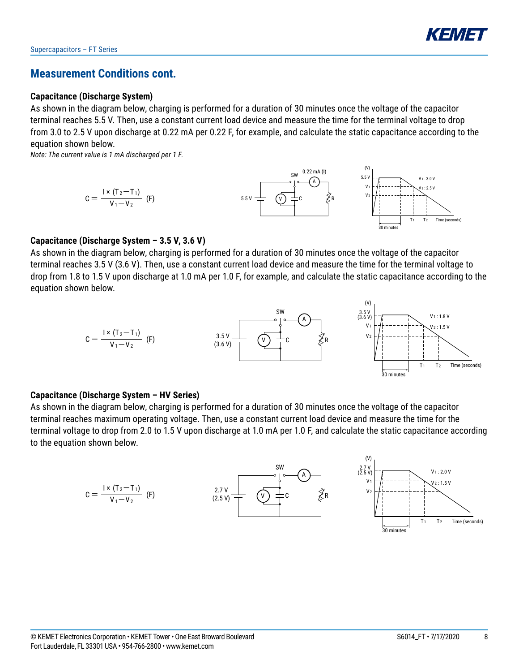

### **Measurement Conditions cont.**

#### **Capacitance (Discharge System)**

As shown in the diagram below, charging is performed for a duration of 30 minutes once the voltage of the capacitor terminal reaches 5.5 V. Then, use a constant current load device and measure the time for the terminal voltage to drop from 3.0 to 2.5 V upon discharge at 0.22 mA per 0.22 F, for example, and calculate the static capacitance according to the equation shown below.

*Note: The current value is 1 mA discharged per 1 F.*



#### **Capacitance (Discharge System – 3.5 V, 3.6 V)**

As shown in the diagram below, charging is performed for a duration of 30 minutes once the voltage of the capacitor terminal reaches 3.5 V (3.6 V). Then, use a constant current load device and measure the time for the terminal voltage to drop from 1.8 to 1.5 V upon discharge at 1.0 mA per 1.0 F, for example, and calculate the static capacitance according to the equation shown below.



#### **Capacitance (Discharge System – HV Series)**

As shown in the diagram below, charging is performed for a duration of 30 minutes once the voltage of the capacitor terminal reaches maximum operating voltage. Then, use a constant current load device and measure the time for the terminal voltage to drop from 2.0 to 1.5 V upon discharge at 1.0 mA per 1.0 F, and calculate the static capacitance according to the equation shown below.

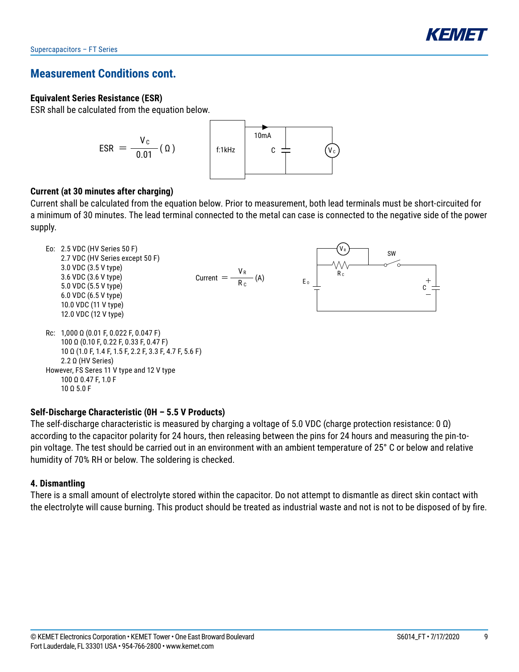### **Measurement Conditions cont.**

### **Equivalent Series Resistance (ESR)**

ESR shall be calculated from the equation below.



### **Current (at 30 minutes after charging)**

Current shall be calculated from the equation below. Prior to measurement, both lead terminals must be short-circuited for a minimum of 30 minutes. The lead terminal connected to the metal can case is connected to the negative side of the power supply.



### $10$  Q 5.0 F

#### **Self-Discharge Characteristic (0H – 5.5 V Products)**

The self-discharge characteristic is measured by charging a voltage of 5.0 VDC (charge protection resistance: 0  $\Omega$ ) according to the capacitor polarity for 24 hours, then releasing between the pins for 24 hours and measuring the pin-topin voltage. The test should be carried out in an environment with an ambient temperature of 25° C or below and relative humidity of 70% RH or below. The soldering is checked.

#### **4. Dismantling**

There is a small amount of electrolyte stored within the capacitor. Do not attempt to dismantle as direct skin contact with the electrolyte will cause burning. This product should be treated as industrial waste and not is not to be disposed of by fire.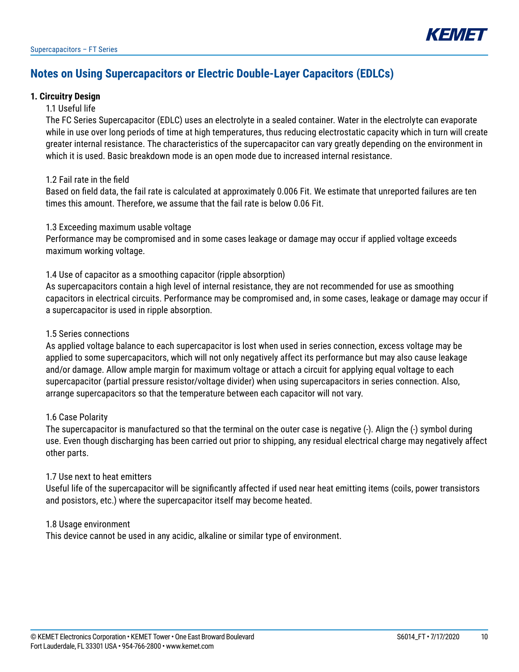

### **Notes on Using Supercapacitors or Electric Double-Layer Capacitors (EDLCs)**

### **1. Circuitry Design**

### 1.1 Useful life

The FC Series Supercapacitor (EDLC) uses an electrolyte in a sealed container. Water in the electrolyte can evaporate while in use over long periods of time at high temperatures, thus reducing electrostatic capacity which in turn will create greater internal resistance. The characteristics of the supercapacitor can vary greatly depending on the environment in which it is used. Basic breakdown mode is an open mode due to increased internal resistance.

### 1.2 Fail rate in the field

Based on field data, the fail rate is calculated at approximately 0.006 Fit. We estimate that unreported failures are ten times this amount. Therefore, we assume that the fail rate is below 0.06 Fit.

### 1.3 Exceeding maximum usable voltage

Performance may be compromised and in some cases leakage or damage may occur if applied voltage exceeds maximum working voltage.

1.4 Use of capacitor as a smoothing capacitor (ripple absorption)

As supercapacitors contain a high level of internal resistance, they are not recommended for use as smoothing capacitors in electrical circuits. Performance may be compromised and, in some cases, leakage or damage may occur if a supercapacitor is used in ripple absorption.

#### 1.5 Series connections

As applied voltage balance to each supercapacitor is lost when used in series connection, excess voltage may be applied to some supercapacitors, which will not only negatively affect its performance but may also cause leakage and/or damage. Allow ample margin for maximum voltage or attach a circuit for applying equal voltage to each supercapacitor (partial pressure resistor/voltage divider) when using supercapacitors in series connection. Also, arrange supercapacitors so that the temperature between each capacitor will not vary.

#### 1.6 Case Polarity

The supercapacitor is manufactured so that the terminal on the outer case is negative (-). Align the (-) symbol during use. Even though discharging has been carried out prior to shipping, any residual electrical charge may negatively affect other parts.

#### 1.7 Use next to heat emitters

Useful life of the supercapacitor will be significantly affected if used near heat emitting items (coils, power transistors and posistors, etc.) where the supercapacitor itself may become heated.

1.8 Usage environment

This device cannot be used in any acidic, alkaline or similar type of environment.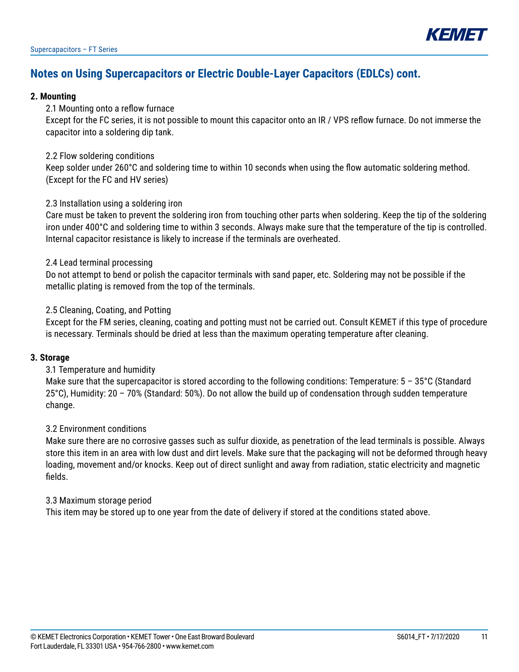

### **Notes on Using Supercapacitors or Electric Double-Layer Capacitors (EDLCs) cont.**

### **2. Mounting**

#### 2.1 Mounting onto a reflow furnace

Except for the FC series, it is not possible to mount this capacitor onto an IR / VPS reflow furnace. Do not immerse the capacitor into a soldering dip tank.

#### 2.2 Flow soldering conditions

Keep solder under 260°C and soldering time to within 10 seconds when using the flow automatic soldering method. (Except for the FC and HV series)

### 2.3 Installation using a soldering iron

Care must be taken to prevent the soldering iron from touching other parts when soldering. Keep the tip of the soldering iron under 400°C and soldering time to within 3 seconds. Always make sure that the temperature of the tip is controlled. Internal capacitor resistance is likely to increase if the terminals are overheated.

### 2.4 Lead terminal processing

Do not attempt to bend or polish the capacitor terminals with sand paper, etc. Soldering may not be possible if the metallic plating is removed from the top of the terminals.

### 2.5 Cleaning, Coating, and Potting

Except for the FM series, cleaning, coating and potting must not be carried out. Consult KEMET if this type of procedure is necessary. Terminals should be dried at less than the maximum operating temperature after cleaning.

#### **3. Storage**

### 3.1 Temperature and humidity

Make sure that the supercapacitor is stored according to the following conditions: Temperature:  $5 - 35^{\circ}$ C (Standard 25°C), Humidity: 20 – 70% (Standard: 50%). Do not allow the build up of condensation through sudden temperature change.

#### 3.2 Environment conditions

Make sure there are no corrosive gasses such as sulfur dioxide, as penetration of the lead terminals is possible. Always store this item in an area with low dust and dirt levels. Make sure that the packaging will not be deformed through heavy loading, movement and/or knocks. Keep out of direct sunlight and away from radiation, static electricity and magnetic fields.

#### 3.3 Maximum storage period

This item may be stored up to one year from the date of delivery if stored at the conditions stated above.